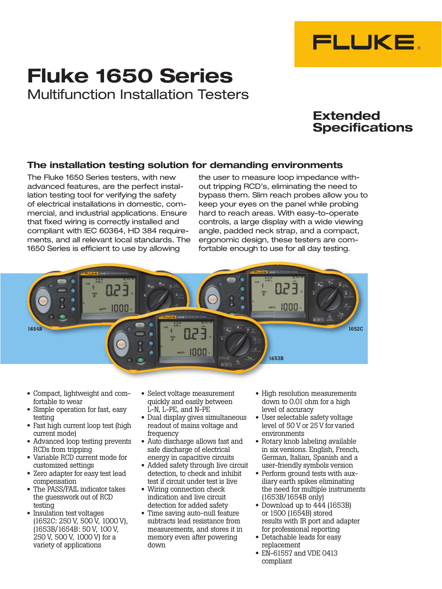

# Fluke 1650 Series Multifunction Installation Testers

# Extended **Specifications**

## The installation testing solution for demanding environments

The Fluke 1650 Series testers, with new advanced features, are the perfect installation testing tool for verifying the safety of electrical installations in domestic, commercial, and industrial applications. Ensure that fixed wiring is correctly installed and compliant with IEC 60364, HD 384 requirements, and all relevant local standards. The 1650 Series is efficient to use by allowing

the user to measure loop impedance without tripping RCD's, eliminating the need to bypass them. Slim reach probes allow you to keep your eyes on the panel while probing hard to reach areas. With easy-to-operate controls, a large display with a wide viewing angle, padded neck strap, and a compact, ergonomic design, these testers are comfortable enough to use for all day testing.



- Compact, lightweight and comfortable to wear
- Simple operation for fast, easy testing
- Fast high current loop test (high current mode)
- Advanced loop testing prevents RCDs from tripping
- Variable RCD current mode for customized settings
- Zero adapter for easy test lead compensation
- The PASS/FAIL indicator takes the guesswork out of RCD testing
- Insulation test voltages (1652C: 250 V, 500 V, 1000 V), (1653B/1654B: 50 V, 100 V, 250 V, 500 V, 1000 V) for a variety of applications
- Select voltage measurement quickly and easily between L-N, L-PE, and N-PE
- Dual display gives simultaneous readout of mains voltage and frequency
- Auto discharge allows fast and safe discharge of electrical energy in capacitive circuits
- Added safety through live circuit detection, to check and inhibit test if circuit under test is live
- Wiring connection check indication and live circuit detection for added safety
- Time saving auto-null feature subtracts lead resistance from measurements, and stores it in memory even after powering down
- High resolution measurements down to 0.01 ohm for a high level of accuracy
- User selectable safety voltage level of 50 V or 25 V for varied environments
- Rotary knob labeling available in six versions. English, French, German, Italian, Spanish and a user-friendly symbols version
- Perform ground tests with auxiliary earth spikes eliminating the need for multiple instruments (1653B/1654B only)
- Download up to  $444$  (1653B) or 1500 (1654B) stored results with IR port and adapter for professional reporting
- Detachable leads for easy replacement
- $\bullet$  EN-61557 and VDE 0413 compliant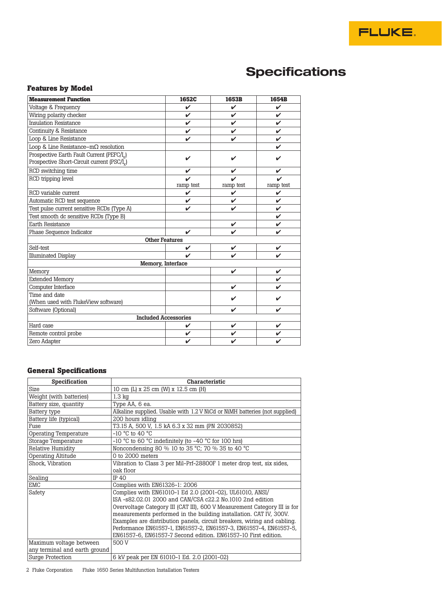# **Specifications**

## **Features by Model**

| <b>Measurement Function</b>                                                                     | 1652C              | 1653B     | 1654B     |
|-------------------------------------------------------------------------------------------------|--------------------|-----------|-----------|
| Voltage & Frequency                                                                             | V                  | V         | V         |
| Wiring polarity checker                                                                         | V                  | V         | V         |
| <b>Insulation Resistance</b>                                                                    | V                  | V         | V         |
| Continuity & Resistance                                                                         | ✓                  | V         | V         |
| Loop & Line Resistance                                                                          | ✔                  | V         | V         |
| Loop & Line Resistance- $m\Omega$ resolution                                                    |                    |           | ✓         |
| Prospective Earth Fault Current (PEFC/L)<br>Prospective Short-Circuit current (PSC/ $I_{\nu}$ ) | ✓                  | ✔         |           |
| RCD switching time                                                                              | ✓                  | ✓         | ✓         |
| RCD tripping level                                                                              | ramp test          | ramp test | ramp test |
| RCD variable current                                                                            | ✓                  | V         | V         |
| Automatic RCD test sequence                                                                     | V                  | ✓         | V         |
| Test pulse current sensitive RCDs (Type A)                                                      | ✓                  | V         | V         |
| Test smooth dc sensitive RCDs (Type B)                                                          |                    |           | V         |
| Earth Resistance                                                                                |                    | ✓         | V         |
| Phase Sequence Indicator                                                                        | ✓                  | ✓         | ✓         |
| <b>Other Features</b>                                                                           |                    |           |           |
| Self-test                                                                                       | $\boldsymbol{\nu}$ | ✓         | ✓         |
| <b>Illuminated Display</b>                                                                      | ✓                  | ✓         | V         |
| Memory, Interface                                                                               |                    |           |           |
| Memory                                                                                          |                    | ✓         | V         |
| <b>Extended Memory</b>                                                                          |                    |           | V         |
| Computer Interface                                                                              |                    | ✔         |           |
| Time and date<br>(When used with FlukeView software)                                            |                    | ✔         |           |
| Software (Optional)                                                                             |                    | ✓         | ✓         |
| <b>Included Accessories</b>                                                                     |                    |           |           |
| Hard case                                                                                       | ✓                  | ✓         | V         |
| Remote control probe                                                                            | V                  | V         | ✓         |
| Zero Adapter                                                                                    | ✔                  | V         | ✓         |

## **General Specifications**

| Specification                 | Characteristic                                                             |
|-------------------------------|----------------------------------------------------------------------------|
| Size                          | 10 cm (L) x 25 cm (W) x 12.5 cm (H)                                        |
| Weight (with batteries)       | $1.3 \text{ kg}$                                                           |
| Battery size, quantity        | Type AA, 6 ea.                                                             |
| Battery type                  | Alkaline supplied. Usable with 1.2 V NiCd or NiMH batteries (not supplied) |
| Battery life (typical)        | 200 hours idling                                                           |
| Fuse                          | T3.15 A, 500 V, 1.5 kA 6.3 x 32 mm (PN 2030852)                            |
| Operating Temperature         | $-10$ °C to 40 °C                                                          |
| Storage Temperature           | $-10$ °C to 60 °C indefinitely (to $-40$ °C for 100 hrs)                   |
| Relative Humidity             | Noncondensing 80 % 10 to 35 °C; 70 % 35 to 40 °C                           |
| <b>Operating Altitude</b>     | $0$ to $2000$ meters                                                       |
| Shock, Vibration              | Vibration to Class 3 per Mil-Prf-28800F 1 meter drop test, six sides,      |
|                               | oak floor                                                                  |
| Sealing                       | IP 40                                                                      |
| EMC                           | Complies with EN61326-1: 2006                                              |
| Safety                        | Complies with EN61010-1 Ed 2.0 (2001-02), UL61010, ANSI/                   |
|                               | ISA-s82,02,01 2000 and CAN/CSA c22.2 No.1010 2nd edition                   |
|                               | Overvoltage Category III (CAT III), 600 V Measurement Category III is for  |
|                               | measurements performed in the building installation. CAT IV, 300V.         |
|                               | Examples are distribution panels, circuit breakers, wiring and cabling.    |
|                               | Performance EN61557-1, EN61557-2, EN61557-3, EN61557-4, EN61557-5,         |
|                               | EN61557-6, EN61557-7 Second edition. EN61557-10 First edition.             |
| Maximum voltage between       | 500 V                                                                      |
| any terminal and earth ground |                                                                            |
| Surge Protection              | 6 kV peak per EN 61010-1 Ed. 2.0 (2001-02)                                 |

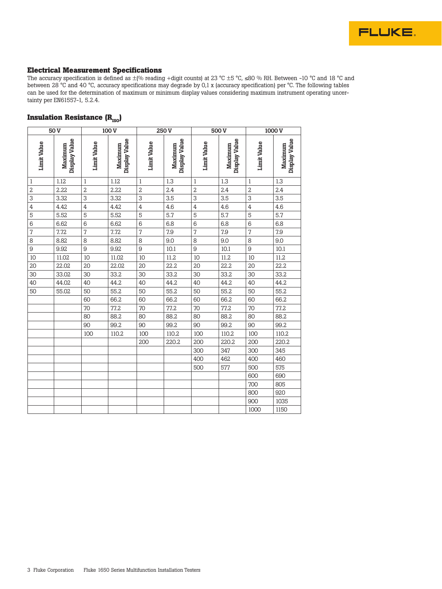

#### **Electrical Measurement Specifications**

The accuracy specification is defined as  $\pm$ (% reading +digit counts) at 23 °C  $\pm$ 5 °C, ≤80 % RH. Between -10 °C and 18 °C and between 28 °C and 40 °C, accuracy specifications may degrade by 0,1 x (accuracy specification) per °C. The following tables can be used for the determination of maximum or minimum display values considering maximum instrument operating uncertainty per EN61557-1, 5.2.4.

## **Insulation Resistance (R<sub>ISO</sub>)**

|                    | 50 <sub>V</sub>          |                | 100V                     |                    | 250 V                    |                    | 500V                     |                    | 1000 <sub>V</sub>        |
|--------------------|--------------------------|----------------|--------------------------|--------------------|--------------------------|--------------------|--------------------------|--------------------|--------------------------|
| <b>Limit Value</b> | Display Value<br>Maximum | Limit Value    | Display Value<br>Maximum | <b>Limit Value</b> | Display Value<br>Maximum | <b>Limit Value</b> | Display Value<br>Maximum | <b>Limit Value</b> | Display Value<br>Maximum |
| 1                  | 1.12                     | 1              | 1.12                     | 1                  | 1.3                      | $\mathbf{1}$       | 1.3                      | 1                  | 1.3                      |
| 2                  | 2.22                     | $\overline{c}$ | 2.22                     | 2                  | 2.4                      | $\overline{2}$     | 2.4                      | $\overline{2}$     | 2.4                      |
| 3                  | 3.32                     | $\overline{3}$ | 3.32                     | 3                  | 3.5                      | $\overline{3}$     | 3.5                      | 3                  | 3.5                      |
| 4                  | 4.42                     | $\overline{4}$ | 4.42                     | 4                  | 4.6                      | $\overline{4}$     | 4.6                      | $\overline{4}$     | 4.6                      |
| 5                  | 5.52                     | 5              | 5.52                     | 5                  | 5.7                      | 5                  | 5.7                      | 5                  | 5.7                      |
| 6                  | 6.62                     | 6              | 6.62                     | 6                  | 6.8                      | 6                  | 6.8                      | 6                  | 6.8                      |
| 7                  | 7.72                     | $\sqrt{2}$     | 7.72                     | 7                  | 7.9                      | $\overline{7}$     | 7.9                      | $\overline{7}$     | 7.9                      |
| 8                  | 8.82                     | 8              | 8.82                     | 8                  | 9.0                      | 8                  | 9.0                      | 8                  | 9.0                      |
| 9                  | 9.92                     | $\overline{9}$ | 9.92                     | 9                  | 10.1                     | 9                  | 10.1                     | 9                  | 10.1                     |
| 10                 | 11.02                    | 10             | 11.02                    | 10                 | 11.2                     | 10                 | 11.2                     | 10                 | 11.2                     |
| 20                 | 22.02                    | 20             | 22.02                    | 20                 | 22.2                     | 20                 | 22.2                     | 20                 | 22.2                     |
| 30                 | 33.02                    | 30             | 33.2                     | 30                 | 33.2                     | 30                 | 33.2                     | 30                 | 33.2                     |
| 40                 | 44.02                    | 40             | 44.2                     | 40                 | 44.2                     | 40                 | 44.2                     | 40                 | 44.2                     |
| 50                 | 55.02                    | 50             | 55.2                     | 50                 | 55.2                     | 50                 | 55.2                     | 50                 | 55.2                     |
|                    |                          | 60             | 66.2                     | 60                 | 66.2                     | 60                 | 66.2                     | 60                 | 66.2                     |
|                    |                          | 70             | 77.2                     | 70                 | 77.2                     | 70                 | 77.2                     | 70                 | 77.2                     |
|                    |                          | 80             | 88.2                     | 80                 | 88.2                     | 80                 | 88.2                     | 80                 | 88.2                     |
|                    |                          | 90             | 99.2                     | 90                 | 99.2                     | 90                 | 99.2                     | 90                 | 99.2                     |
|                    |                          | 100            | 110.2                    | 100                | 110.2                    | 100                | 110.2                    | 100                | 110.2                    |
|                    |                          |                |                          | 200                | 220.2                    | 200                | 220.2                    | 200                | 220.2                    |
|                    |                          |                |                          |                    |                          | 300                | 347                      | 300                | 345                      |
|                    |                          |                |                          |                    |                          | 400                | 462                      | 400                | 460                      |
|                    |                          |                |                          |                    |                          | 500                | 577                      | 500                | 575                      |
|                    |                          |                |                          |                    |                          |                    |                          | 600                | 690                      |
|                    |                          |                |                          |                    |                          |                    |                          | 700                | 805                      |
|                    |                          |                |                          |                    |                          |                    |                          | 800                | 920                      |
|                    |                          |                |                          |                    |                          |                    |                          | 900                | 1035                     |
|                    |                          |                |                          |                    |                          |                    |                          | 1000               | 1150                     |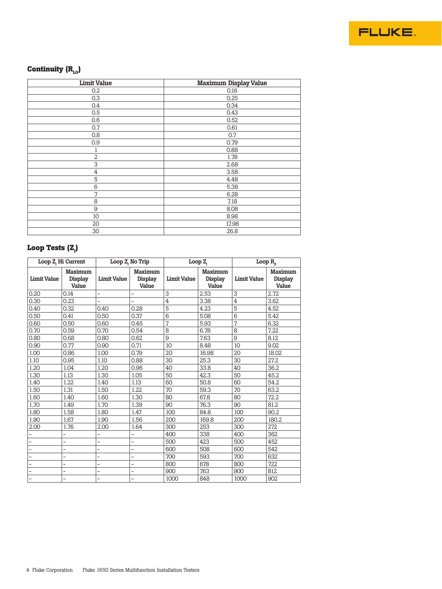

# Continuity (R<sub>LO</sub>)

| <b>Limit Value</b> | <b>Maximum Display Value</b> |
|--------------------|------------------------------|
| 0.2                | 0.16                         |
| 0.3                | 0.25                         |
| 0.4                | 0.34                         |
| 0.5                | 0.43                         |
| 0.6                | 0.52                         |
| 0.7                | 0.61                         |
| 0.8                | 0.7                          |
| 0.9                | 0.79                         |
| 1                  | 0.88                         |
| $\overline{2}$     | 1.78                         |
| 3                  | 2.68                         |
| 4                  | 3.58                         |
| 5                  | 4.48                         |
| 6                  | 5.38                         |
| $\overline{7}$     | 6.28                         |
| 8                  | 7.18                         |
| 9                  | 8.08                         |
| 10                 | 8.98                         |
| 20                 | 17.98                        |
| 30                 | 26.8                         |

## Loop Tests (Z<sub>ı</sub>)

|                    | Loop Z, Hi Current                 |                          | Loop Z, No Trip                    |                    | Loop $Z_{1}$                       | Loop $R_{\rm g}$   |                                    |
|--------------------|------------------------------------|--------------------------|------------------------------------|--------------------|------------------------------------|--------------------|------------------------------------|
| <b>Limit Value</b> | <b>Maximum</b><br>Display<br>Value | <b>Limit Value</b>       | <b>Maximum</b><br>Display<br>Value | <b>Limit Value</b> | <b>Maximum</b><br>Display<br>Value | <b>Limit Value</b> | <b>Maximum</b><br>Display<br>Value |
| 0.20               | 0.14                               | -                        |                                    | 3                  | 2.53                               | 3                  | 2.72                               |
| 0.30               | 0.23                               | $\overline{\phantom{0}}$ | $\overline{\phantom{0}}$           | $\overline{4}$     | 3.38                               | 4                  | 3.62                               |
| 0.40               | 0.32                               | 0.40                     | 0.28                               | 5                  | 4.23                               | 5                  | 4.52                               |
| 0.50               | 0.41                               | 0.50                     | 0.37                               | 6                  | 5.08                               | 6                  | 5.42                               |
| 0.60               | 0.50                               | 0.60                     | 0.45                               | 7                  | 5.93                               | 7                  | 6.32                               |
| 0.70               | 0.59                               | 0.70                     | 0.54                               | 8                  | 6.78                               | 8                  | 7.22                               |
| 0.80               | 0.68                               | 0.80                     | 0.62                               | 9                  | 7.63                               | 9                  | 8.12                               |
| 0.90               | 0.77                               | 0.90                     | 0.71                               | 10                 | 8.48                               | 10                 | 9.02                               |
| 1.00               | 0.86                               | 1.00                     | 0.79                               | 20                 | 16.98                              | 20                 | 18.02                              |
| 1.10               | 0.95                               | 1.10                     | 0.88                               | 30                 | 25.3                               | 30                 | 27.2                               |
| 1.20               | 1.04                               | 1.20                     | 0.96                               | 40                 | 33.8                               | 40                 | 36.2                               |
| 1.30               | 1.13                               | 1.30                     | 1.05                               | 50                 | 42.3                               | 50                 | 45.2                               |
| 1.40               | 1.22                               | 1.40                     | 1.13                               | 60                 | 50.8                               | 60                 | 54.2                               |
| 1.50               | 1.31                               | 1.50                     | 1.22                               | 70                 | 59.3                               | 70                 | 63.2                               |
| 1.60               | 1.40                               | 1.60                     | 1.30                               | 80                 | 67.8                               | 80                 | 72.2                               |
| 1.70               | 1.49                               | 1.70                     | 1.39                               | 90                 | 76.3                               | 90                 | 81.2                               |
| 1.80               | 1.58                               | 1.80                     | 1.47                               | 100                | 84.8                               | 100                | 90.2                               |
| 1.90               | 1.67                               | 1.90                     | 1.56                               | 200                | 169.8                              | 200                | 180.2                              |
| 2.00               | 1.76                               | 2.00                     | 1.64                               | 300                | 253                                | 300                | 272                                |
|                    |                                    |                          |                                    | 400                | 338                                | 400                | 362                                |
|                    | -                                  | $\overline{\phantom{0}}$ | -                                  | 500                | 423                                | 500                | 452                                |
|                    |                                    | -                        | ۳                                  | 600                | 508                                | 600                | 542                                |
|                    | -                                  | $\overline{a}$           | $\overline{\phantom{0}}$           | 700                | 593                                | 700                | 632                                |
|                    |                                    | -                        | $\overline{\phantom{0}}$           | 800                | 678                                | 800                | 722                                |
|                    |                                    | -                        |                                    | 900                | 763                                | 900                | 812                                |
| $\overline{a}$     |                                    | $\overline{\phantom{0}}$ |                                    | 1000               | 848                                | 1000               | 902                                |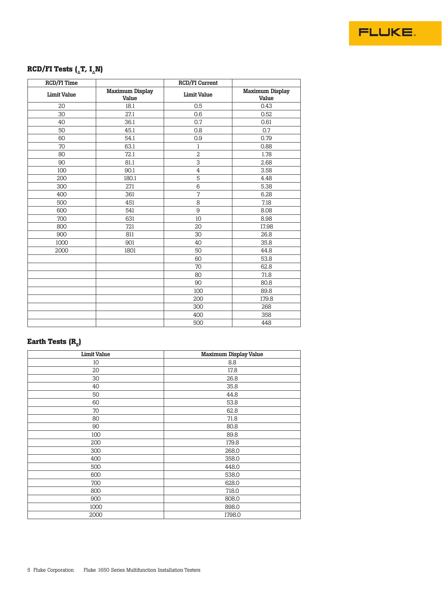

# **RCD/FI Tests (** $\Delta$ **T, I** $\Delta$ **N)**

| <b>RCD/FI Time</b> |                                 | RCD/FI Current     |                                 |
|--------------------|---------------------------------|--------------------|---------------------------------|
| <b>Limit Value</b> | <b>Maximum Display</b><br>Value | <b>Limit Value</b> | <b>Maximum Display</b><br>Value |
| 20                 | 18.1                            | 0.5                | 0.43                            |
| 30                 | 27.1                            | 0.6                | 0.52                            |
| 40                 | 36.1                            | 0.7                | 0.61                            |
| 50                 | 45.1                            | 0.8                | 0.7                             |
| 60                 | 54.1                            | 0.9                | 0.79                            |
| 70                 | 63.1                            | $\,1$              | 0.88                            |
| 80                 | 72.1                            | $\overline{2}$     | 1.78                            |
| 90                 | 81.1                            | 3                  | 2.68                            |
| 100                | 90.1                            | $\overline{4}$     | 3.58                            |
| 200                | 180.1                           | $\overline{5}$     | 4.48                            |
| 300                | 271                             | 6                  | 5.38                            |
| 400                | 361                             | $\sqrt{2}$         | 6.28                            |
| 500                | 451                             | 8                  | 7.18                            |
| 600                | 541                             | 9                  | 8.08                            |
| 700                | 631                             | 10                 | 8.98                            |
| 800                | 721                             | 20                 | 17.98                           |
| 900                | 811                             | 30                 | 26.8                            |
| 1000               | 901                             | 40                 | 35.8                            |
| 2000               | 1801                            | 50                 | 44.8                            |
|                    |                                 | 60                 | 53.8                            |
|                    |                                 | 70                 | 62.8                            |
|                    |                                 | 80                 | 71.8                            |
|                    |                                 | 90                 | 80.8                            |
|                    |                                 | 100                | 89.8                            |
|                    |                                 | 200                | 179.8                           |
|                    |                                 | 300                | 268                             |
|                    |                                 | 400                | 358                             |
|                    |                                 | 500                | 448                             |

# **Earth Tests (R<sub>E</sub>)**

| <b>Limit Value</b> | <b>Maximum Display Value</b> |
|--------------------|------------------------------|
| 10                 | 8.8                          |
| 20                 | 17.8                         |
| 30                 | 26.8                         |
| 40                 | 35.8                         |
| 50                 | 44.8                         |
| 60                 | 53.8                         |
| 70                 | 62.8                         |
| 80                 | 71.8                         |
| 90                 | 80.8                         |
| 100                | 89.8                         |
| 200                | 179.8                        |
| 300                | 268.0                        |
| 400                | 358.0                        |
| 500                | 448.0                        |
| 600                | 538.0                        |
| 700                | 628.0                        |
| 800                | 718.0                        |
| 900                | 808.0                        |
| 1000               | 898.0                        |
| 2000               | 1798.0                       |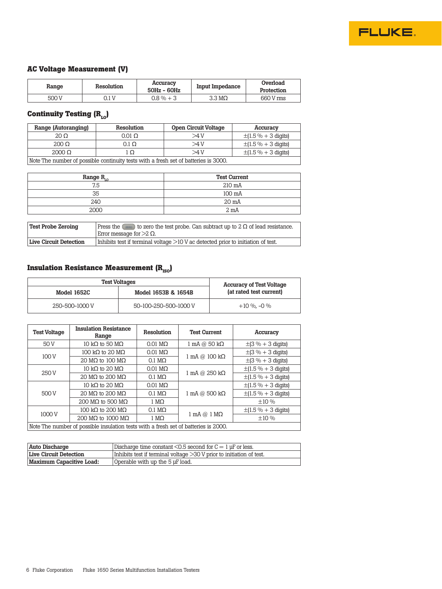

#### **AC Voltage Measurement (V)**

| Range | Resolution | Accuracy<br>50Hz - 60Hz | Input Impedance  | Overload<br>Protection |
|-------|------------|-------------------------|------------------|------------------------|
| 500 V | ) 1 V      | $0.8\% + 3$             | $3.3 \text{ MO}$ | 660 V ms               |

# **Continuity Testing (R<sub>LO</sub>)**

| Range (Autoranging)                                                                 | Resolution     | <b>Open Circuit Voltage</b> | Accuracy                        |  |
|-------------------------------------------------------------------------------------|----------------|-----------------------------|---------------------------------|--|
| $20 \Omega$                                                                         | $0.01\ \Omega$ | >4 V                        | $\pm(1.5\% + 3 \text{ digits})$ |  |
| $200 \Omega$                                                                        | $0.1\ \Omega$  | >4V                         | $\pm(1.5\% + 3 \text{ digits})$ |  |
| $\pm(1.5\% + 3 \text{ digits})$<br>$2000 \Omega$<br>>4V<br>lΩ                       |                |                             |                                 |  |
| Note The number of possible continuity tests with a fresh set of batteries is 3000. |                |                             |                                 |  |

| Range $R_{10}$ | <b>Test Current</b> |
|----------------|---------------------|
| 7.5            | 210 mA              |
| 35             | $100 \text{ mA}$    |
| 240            | 20 mA               |
| 2000           | $2 \text{ mA}$      |

| Test Probe Zeroing            | to zero the test probe. Can subtract up to $2 \Omega$ of lead resistance.<br>Press the<br>Error message for $>2 \Omega$ . |
|-------------------------------|---------------------------------------------------------------------------------------------------------------------------|
| <b>Live Circuit Detection</b> | Inhibits test if terminal voltage $>$ 10 V ac detected prior to initiation of test.                                       |

## **Insulation Resistance Measurement (R<sub>ISO</sub>)**

| <b>Test Voltages</b> | <b>Accuracy of Test Voltage</b> |                         |  |
|----------------------|---------------------------------|-------------------------|--|
| Model 1652C          | Model 1653B & 1654B             | (at rated test current) |  |
| 250-500-1000 V       | 50-100-250-500-1000 V           | $+10\%$ . –0 $\%$       |  |

| <b>Test Voltage</b>                                                                 | <b>Insulation Resistance</b><br>Range | Resolution             | <b>Test Current</b>                  | Accuracy                        |
|-------------------------------------------------------------------------------------|---------------------------------------|------------------------|--------------------------------------|---------------------------------|
| 50 V                                                                                | 10 k $\Omega$ to 50 M $\Omega$        | $0.01 \text{ M}\Omega$ | $1 \text{ mA} @ 50 \text{ k}\Omega$  | $\pm$ (3 % + 3 digits)          |
| 100 V                                                                               | 100 k $\Omega$ to 20 M $\Omega$       | $0.01 \text{ M}\Omega$ |                                      | $\pm (3\% + 3 \text{ digits})$  |
|                                                                                     | 20 M $\Omega$ to 100 M $\Omega$       | $0.1 \text{ M}\Omega$  | $1 \text{ mA} @ 100 \text{ k}\Omega$ | $\pm (3\% + 3 \text{ digits})$  |
|                                                                                     | 10 kQ to 20 $MO$                      | $0.01$ MO              |                                      | $\pm(1.5\% + 3 \text{ digits})$ |
| 250 V                                                                               | 20 MQ to 200 MQ                       | $0.1 \text{ M}\Omega$  | $1 \text{ mA} @ 250 \text{ k}\Omega$ | $\pm(1.5\% + 3 \text{ digits})$ |
|                                                                                     | $0.01$ MO<br>10 kQ to 20 $MO$         |                        | $\pm(1.5\% + 3 \text{ digits})$      |                                 |
| 500 V                                                                               | 20 MQ to 200 MQ                       | $0.1 \text{ M}\Omega$  | $1 \text{ mA} @ 500 \text{ k}\Omega$ | $\pm(1.5\% + 3 \text{ digits})$ |
|                                                                                     | 200 MQ to 500 MQ                      | $1 M\Omega$            |                                      | $\pm 10 \%$                     |
| 1000 V                                                                              | 100 kQ to 200 MQ                      | $0.1 \text{ M}\Omega$  |                                      | $\pm(1.5\% + 3 \text{ digits})$ |
|                                                                                     | 200 MQ to 1000 MQ                     | $1 M\Omega$            | $1 \text{ mA} @ 1 \text{ M}\Omega$   | ±10%                            |
| Note The number of possible insulation tests with a fresh set of batteries is 2000. |                                       |                        |                                      |                                 |

| Auto Discharge                | Discharge time constant $\leq 0.5$ second for $C = 1$ µF or less.    |
|-------------------------------|----------------------------------------------------------------------|
| <b>Live Circuit Detection</b> | Inhibits test if terminal voltage >30 V prior to initiation of test. |
| Maximum Capacitive Load:      | Operable with up the 5 µF load.                                      |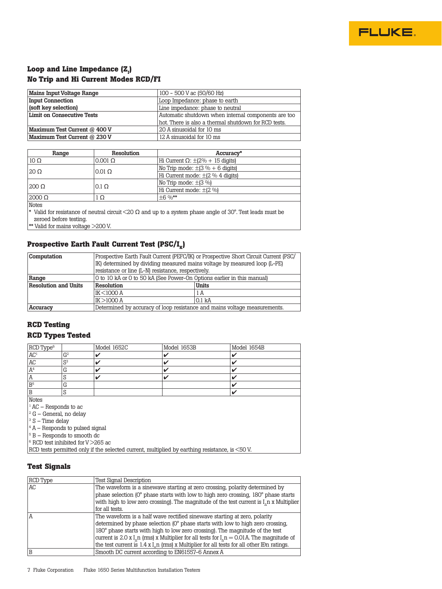

## Loop and Line Impedance (Z<sub>ı</sub>) **No Trip and Hi Current Modes RCD/FI**

| Mains Input Voltage Range                          | 100 - 500 V ac (50/60 Hz)                            |  |
|----------------------------------------------------|------------------------------------------------------|--|
| Loop Impedance: phase to earth<br>Input Connection |                                                      |  |
| (soft key selection)                               | Line impedance: phase to neutral                     |  |
| <b>Limit on Consecutive Tests</b>                  | Automatic shutdown when internal components are too  |  |
|                                                    | hot. There is also a thermal shutdown for RCD tests. |  |
| Maximum Test Current @ 400 V                       | 20 A sinusoidal for 10 ms                            |  |
| Maximum Test Current @ 230 V                       | 12 A sinusoidal for 10 ms                            |  |

| Range                     | Resolution       | Accuracy*                            |
|---------------------------|------------------|--------------------------------------|
| $\mid$ 10 $\Omega$        | $0.001$ $\Omega$ | Hi Current Ω: $\pm$ (2% + 15 digits) |
|                           |                  | No Trip mode: $\pm$ (3 % + 6 digits) |
| $120 \Omega$              | $0.01$ $\Omega$  | Hi Current mode: ±(2 % 4 digits)     |
|                           | $0.1 \Omega$     | No Trip mode: ±(3 %)                 |
| 1200 Ω                    |                  | Hi Current mode: ±(2 %)              |
| $\vert 2000 \Omega \vert$ | Ω.               | $+6\frac{0}{8}$ **                   |
| 17.7.4.1                  |                  |                                      |

Notes

\* Valid for resistance of neutral circuit <20  $\Omega$  and up to a system phase angle of 30°. Test leads must be zeroed before testing.

\*\* Valid for mains voltage >200 V.

#### Prospective Earth Fault Current Test (PSC/I<sub>K</sub>)

| <b>Computation</b>          | Prospective Earth Fault Current (PEFC/IK) or Prospective Short Circuit Current (PSC/ |                   |  |
|-----------------------------|--------------------------------------------------------------------------------------|-------------------|--|
|                             | IK) determined by dividing measured mains voltage by measured loop (L-PE)            |                   |  |
|                             | resistance or line (L-N) resistance, respectively.                                   |                   |  |
| Range                       | 0 to 10 kA or 0 to 50 kA (See Power-On Options earlier in this manual)               |                   |  |
|                             | Resolution<br>Units                                                                  |                   |  |
| <b>Resolution and Units</b> |                                                                                      |                   |  |
|                             | IK <1000 A                                                                           | 1 A               |  |
|                             | IK>1000 A                                                                            | 0.1 <sub>kA</sub> |  |

### **RCD Testing RCD Types Tested**

| RCD Type <sup>6</sup> |                     | Model 1652C | Model 1653B | Model 1654B |  |
|-----------------------|---------------------|-------------|-------------|-------------|--|
| $\overline{AC^1}$     | G <sup>2</sup>      |             |             |             |  |
| AC                    | C <sub>3</sub><br>N |             |             |             |  |
| A <sup>4</sup>        | ⌒<br>G              |             |             |             |  |
| $\mathbf{r}$          |                     |             |             |             |  |
| B <sup>5</sup>        | G                   |             |             |             |  |
|                       | N                   |             |             |             |  |
| $N \sim$              |                     |             |             |             |  |

Notes

 $^{1}$  AC – Responds to ac

- $2 G -$ General, no delay
- $^3$  S Time delay

 $4$  A – Responds to pulsed signal

<sup>5</sup> B – Responds to smooth dc

 $6$  RCD test inhibited for V > 265 ac

RCD tests permitted only if the selected current, multiplied by earthing resistance, is <50 V.

#### **Test Signals**

| <b>RCD Type</b> | <b>Test Signal Description</b>                                                                     |
|-----------------|----------------------------------------------------------------------------------------------------|
| AC              | The waveform is a sinewave starting at zero crossing, polarity determined by                       |
|                 | phase selection (0° phase starts with low to high zero crossing, 180° phase starts                 |
|                 | with high to low zero crossing). The magnitude of the test current is $I_n$ x Multiplier           |
|                 | for all tests.                                                                                     |
| A               | The waveform is a half wave rectified sinewave starting at zero, polarity                          |
|                 | determined by phase selection (0° phase starts with low to high zero crossing,                     |
|                 | 180° phase starts with high to low zero crossing). The magnitude of the test                       |
|                 | current is 2.0 x I, n (rms) x Multiplier for all tests for $I_n = 0.01$ A. The magnitude of        |
|                 | the test current is $1.4 \times I$ , n (rms) x Multiplier for all tests for all other IBn ratings. |
| B               | Smooth DC current according to EN61557-6 Annex A                                                   |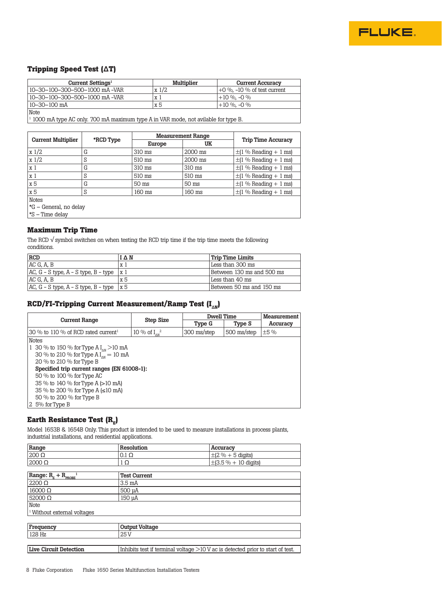

#### **Tripping Speed Test (ΔT)**

| Current Settings <sup>1</sup>  | Multiplier | <b>Current Accuracy</b>          |
|--------------------------------|------------|----------------------------------|
| 10–30–100–300–500–1000 mA -VAR | x1/2       | $+0\%$ . $-10\%$ of test current |
| 10–30–100–300–500–1000 mA -VAR | x l        | $+10\%$ . -0 %                   |
| 10–30–100 mA                   | x 5        | $+10\%$ . -0 %                   |

**Note** 

<sup>1</sup> 1000 mA type AC only. 700 mA maximum type A in VAR mode, not avilable for type B.

|                           | *RCD Type | <b>Measurement Range</b> |         |                            |
|---------------------------|-----------|--------------------------|---------|----------------------------|
| <b>Current Multiplier</b> |           | Europe                   | UK      | <b>Trip Time Accuracy</b>  |
| $x\frac{1}{2}$            | G         | 310 ms                   | 2000 ms | $\pm$ (1 % Reading + 1 ms) |
| $x\frac{1}{2}$            | S         | 510 ms                   | 2000 ms | $\pm$ (1 % Reading + 1 ms) |
| x <sub>1</sub>            | G         | 310 ms                   | 310 ms  | $\pm$ (1 % Reading + 1 ms) |
| x <sub>1</sub>            | S         | 510 ms                   | 510 ms  | $\pm$ (1 % Reading + 1 ms) |
| x 5                       | G         | 50 ms                    | 50 ms   | $\pm$ (1 % Reading + 1 ms) |
| x 5                       | S         | 160 ms                   | 160 ms  | $\pm$ (1 % Reading + 1 ms) |
| <b>Notes</b>              |           |                          |         |                            |
| *G – General, no delay    |           |                          |         |                            |
| *S – Time delay           |           |                          |         |                            |

#### **Maximum Trip Time**

The RCD  $\sqrt{s}$  symbol switches on when testing the RCD trip time if the trip time meets the following conditions.

| <b>RCD</b>                                 | ΙΔΝ             | <b>Trip Time Limits</b>   |
|--------------------------------------------|-----------------|---------------------------|
| ACG, A, B                                  | хl              | Less than 300 ms          |
| $AC, G - S$ type, $A - S$ type, $B - type$ | $\vert x \vert$ | Between 130 ms and 500 ms |
| AC G.A.B                                   | x 5             | Less than 40 ms           |
| $AC, G - S$ type, $A - S$ type, $B - type$ | 1x 5            | Between 50 ms and 150 ms  |

#### **RCD/FI-Tripping Current Measurement/Ramp Test (I<sub>** $\Delta$ **N</sub>**)

|                                                            | <b>Step Size</b>          | Dwell Time  |             | Measurement |
|------------------------------------------------------------|---------------------------|-------------|-------------|-------------|
| Current Range                                              |                           | Type G      | Type S      | Accuracy    |
| 30 % to 110 % of RCD rated current <sup>1</sup>            | 10 % of $I_{\text{av}}^2$ | 300 ms/step | 500 ms/step | $\pm$ 5 %   |
| <b>Notes</b>                                               |                           |             |             |             |
| 1 30 % to 150 % for Type A $I_{\text{av}} > 10 \text{ mA}$ |                           |             |             |             |
| 30 % to 210 % for Type A $I_{\text{av}} = 10 \text{ mA}$   |                           |             |             |             |
| 20 % to 210 % for Type B                                   |                           |             |             |             |
| Specified trip current ranges (EN 61008-1):                |                           |             |             |             |
| 50 % to 100 % for Type AC                                  |                           |             |             |             |
| 35 % to 140 % for Type A (>10 mA)                          |                           |             |             |             |
| 35 % to 200 % for Type A $(\leq 10 \text{ mA})$            |                           |             |             |             |
| 50 % to 200 % for Type B                                   |                           |             |             |             |
| 2 5% for Type B                                            |                           |             |             |             |

## **Earth Resistance Test (R<sub>E</sub>)**

Model 1653B & 1654B Only. This product is intended to be used to measure installations in process plants, industrial installations, and residential applications.

| Range                                             | Resolution                                                                       | Accuracy                          |  |
|---------------------------------------------------|----------------------------------------------------------------------------------|-----------------------------------|--|
| $200 \Omega$                                      | $0.1 \Omega$                                                                     | $\pm (2\% + 5 \text{ digits})$    |  |
| $2000 \Omega$                                     | $1\Omega$                                                                        | $\pm (3.5\% + 10 \text{ digits})$ |  |
|                                                   |                                                                                  |                                   |  |
| Range: $R_{\rm E}$ + $R_{\rm PROBE}$ <sup>1</sup> | <b>Test Current</b>                                                              |                                   |  |
| $2200 \Omega$                                     | 3.5 <sub>mA</sub>                                                                |                                   |  |
| $16000 \Omega$                                    | 500 µA                                                                           |                                   |  |
| $52000 \Omega$                                    | 150 µA                                                                           |                                   |  |
| <b>Note</b>                                       |                                                                                  |                                   |  |
| <sup>1</sup> Without external voltages            |                                                                                  |                                   |  |
|                                                   |                                                                                  |                                   |  |
| Frequency                                         | <b>Output Voltage</b>                                                            |                                   |  |
| 128 Hz                                            | 25 <sub>V</sub>                                                                  |                                   |  |
|                                                   |                                                                                  |                                   |  |
| <b>Live Circuit Detection</b>                     | Inhibits test if terminal voltage $>10$ V ac is detected prior to start of test. |                                   |  |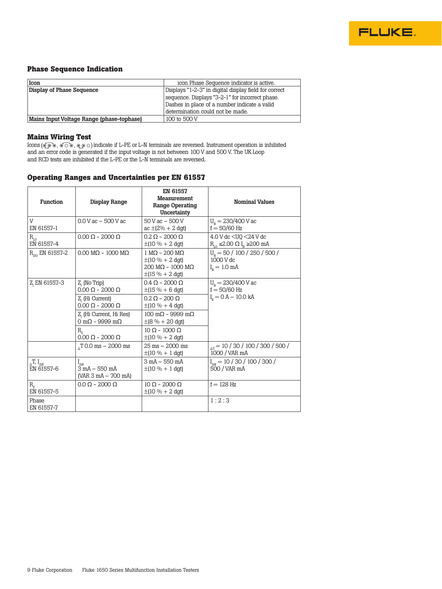

#### **Phase Sequence Indication**

| Icon                                      | icon Phase Sequence indicator is active.              |
|-------------------------------------------|-------------------------------------------------------|
| Display of Phase Sequence                 | Displays "1-2-3" in digital display field for correct |
|                                           | sequence. Displays "3-2-1" for incorrect phase.       |
|                                           | Dashes in place of a number indicate a valid          |
|                                           | determination could not be made.                      |
| Mains Input Voltage Range (phase-tophase) | 100 to 500 V                                          |

#### **Mains Wiring Test**

Icons (গ্ৰু ১, ওঁ ০ ১, ৩,০ ০) indicate if L-PE or L-N terminals are reversed. Instrument operation is inhibited and an error code is generated if the input voltage is not between 100 V and 500 V. The UK Loop and RCD tests are inhibited if the L-PE or the L-N terminals are reversed.

#### **Operating Ranges and Uncertainties per EN 61557**

| <b>Function</b>                              | Display Range                                                              | EN 61557<br>Measurement<br>Range Operating<br>Uncertainty                                                                                             | <b>Nominal Values</b>                                                                       |
|----------------------------------------------|----------------------------------------------------------------------------|-------------------------------------------------------------------------------------------------------------------------------------------------------|---------------------------------------------------------------------------------------------|
| V<br>EN 61557-1                              | $0.0 V$ ac $- 500 V$ ac                                                    | $50V$ ac $-500V$<br>$ac \pm (2\% + 2 \text{ dgt})$                                                                                                    | $U_{N} = 230/400$ V ac<br>$f = 50/60$ Hz                                                    |
| $R_{I,0}$<br>EN 61557-4                      | $0.00 \Omega - 2000 \Omega$                                                | $0.2 \Omega - 2000 \Omega$<br>$\pm(10\% + 2\text{ dgt})$                                                                                              | 4.0 V dc < U0 < 24 V dc<br>$R_{\text{L}} \leq 2.00 \Omega I_{\text{N}} \geq 200 \text{ mA}$ |
| $R_{\rm iso}$ EN 61557-2                     | $0.00 \text{ M}\Omega - 1000 \text{ M}\Omega$                              | $1 \text{ M}\Omega - 200 \text{ M}\Omega$<br>$\pm(10\% + 2\text{ dgt})$<br>$200 \text{ M}\Omega - 1000 \text{ M}\Omega$<br>$\pm(15\% + 2\text{ dgt})$ | $U_{N}$ = 50 / 100 / 250 / 500 /<br>1000 V dc<br>$I_{\rm M} = 1.0 \text{ mA}$               |
| Z, EN 61557-3                                | Z, (No Trip)<br>$0.00 \Omega - 2000 \Omega$                                | $0.4 \Omega - 2000 \Omega$<br>$\pm(15\% + 6\text{ dgt})$                                                                                              | $U_{N} = 230/400$ V ac<br>$f = 50/60$ Hz                                                    |
|                                              | Z. (Hi Current)<br>$0.00 \Omega - 2000 \Omega$                             | $0.2$ Q – 200 Q<br>$\pm(10\% + 4\text{ dgt})$                                                                                                         | $I_{\rm g} = 0$ A - 10.0 kA                                                                 |
|                                              | Z, (Hi Current, Hi Res)<br>$0 \text{ m}\Omega$ - 9999 m $\Omega$           | $100 \text{ m}\Omega - 9999 \text{ m}\Omega$<br>$\pm (8\% + 20\,\text{dgt})$                                                                          |                                                                                             |
|                                              | $R_{\rm g}$<br>$0.00 \Omega - 2000 \Omega$                                 | $10 \Omega - 1000 \Omega$<br>$\pm(10\% + 2\text{ dgt})$                                                                                               |                                                                                             |
|                                              | T <sub>0.0</sub> ms $-$ 2000 ms                                            | $25 \text{ ms} - 2000 \text{ ms}$<br>$\pm(10\% + 1\,dy)$                                                                                              | $_{\Delta T}$ = 10 / 30 / 100 / 300 / 500 /<br>1000 / VAR mA                                |
| $_{\Delta}$ T, I <sub>an</sub><br>EN 61557-6 | $I_{\Delta N}$<br>$3 \text{ mA} - 550 \text{ mA}$<br>$(VAR 3 mA - 700 mA)$ | 3 mA - 550 mA<br>$\pm(10\% + 1\mathrm{d}qt)$                                                                                                          | $I_{\text{av}}$ = 10 / 30 / 100 / 300 /<br>500 / VAR mA                                     |
| $R_{\rm e}$<br>EN 61557-5                    | $0.0 \Omega - 2000 \Omega$                                                 | $10 \Omega - 2000 \Omega$<br>$\pm(10\% + 2\text{ dgt})$                                                                                               | $f = 128$ Hz                                                                                |
| Phase<br>EN 61557-7                          |                                                                            |                                                                                                                                                       | 1:2:3                                                                                       |